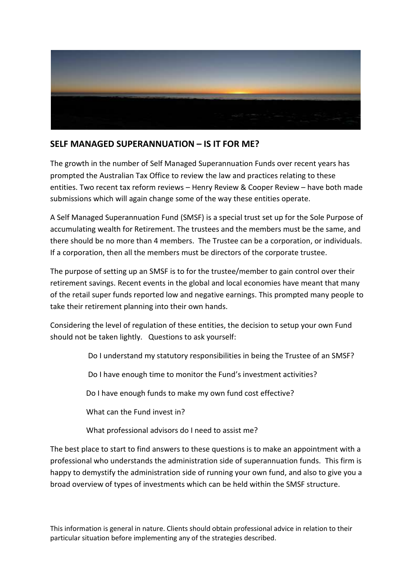

## **SELF MANAGED SUPERANNUATION – IS IT FOR ME?**

The growth in the number of Self Managed Superannuation Funds over recent years has prompted the Australian Tax Office to review the law and practices relating to these entities. Two recent tax reform reviews – Henry Review & Cooper Review – have both made submissions which will again change some of the way these entities operate.

A Self Managed Superannuation Fund (SMSF) is a special trust set up for the Sole Purpose of accumulating wealth for Retirement. The trustees and the members must be the same, and there should be no more than 4 members. The Trustee can be a corporation, or individuals. If a corporation, then all the members must be directors of the corporate trustee.

The purpose of setting up an SMSF is to for the trustee/member to gain control over their retirement savings. Recent events in the global and local economies have meant that many of the retail super funds reported low and negative earnings. This prompted many people to take their retirement planning into their own hands.

Considering the level of regulation of these entities, the decision to setup your own Fund should not be taken lightly. Questions to ask yourself:

Do I understand my statutory responsibilities in being the Trustee of an SMSF?

Do I have enough time to monitor the Fund's investment activities?

Do I have enough funds to make my own fund cost effective?

What can the Fund invest in?

What professional advisors do I need to assist me?

The best place to start to find answers to these questions is to make an appointment with a professional who understands the administration side of superannuation funds. This firm is happy to demystify the administration side of running your own fund, and also to give you a broad overview of types of investments which can be held within the SMSF structure.

This information is general in nature. Clients should obtain professional advice in relation to their particular situation before implementing any of the strategies described.